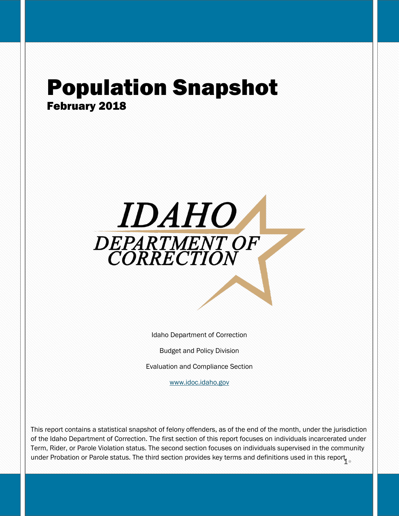## Population Snapshot February 2018



Idaho Department of Correction

Budget and Policy Division

Evaluation and Compliance Section

[www.idoc.idaho.gov](http://www.idoc.idaho.gov/)

under Probation or Parole status. The third section provides key terms and definitions used in this report in This report contains a statistical snapshot of felony offenders, as of the end of the month, under the jurisdiction of the Idaho Department of Correction. The first section of this report focuses on individuals incarcerated under Term, Rider, or Parole Violation status. The second section focuses on individuals supervised in the community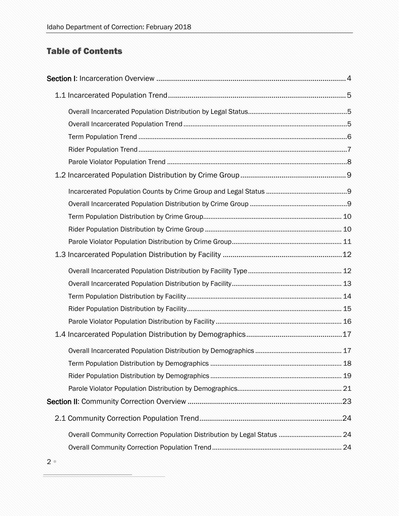## Table of Contents

| 18 |
|----|
|    |
|    |
|    |
|    |
|    |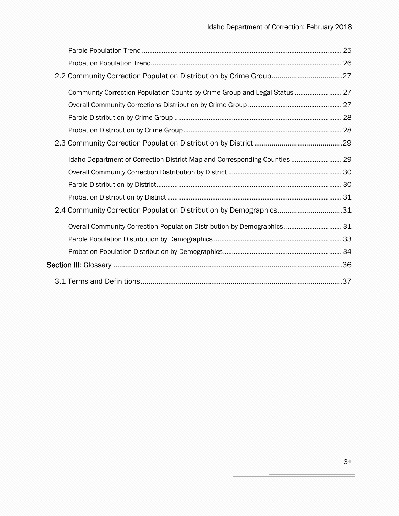| Community Correction Population Counts by Crime Group and Legal Status  27 |  |
|----------------------------------------------------------------------------|--|
|                                                                            |  |
|                                                                            |  |
|                                                                            |  |
|                                                                            |  |
| Idaho Department of Correction District Map and Corresponding Counties  29 |  |
|                                                                            |  |
|                                                                            |  |
|                                                                            |  |
| 2.4 Community Correction Population Distribution by Demographics31         |  |
| Overall Community Correction Population Distribution by Demographics 31    |  |
|                                                                            |  |
|                                                                            |  |
|                                                                            |  |
|                                                                            |  |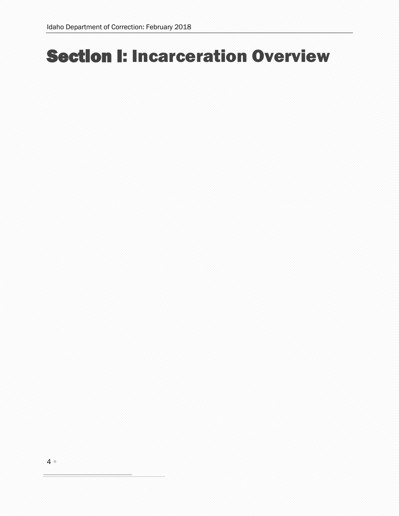# <span id="page-3-0"></span>Section I: Incarceration Overview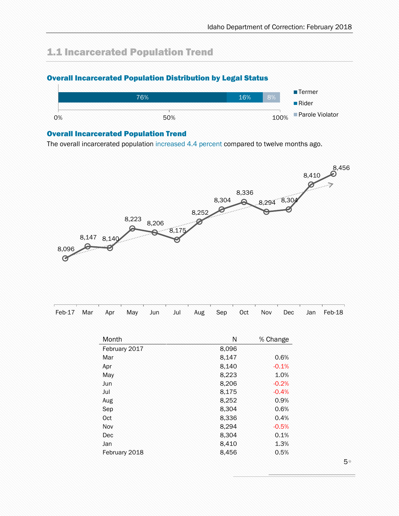## <span id="page-4-0"></span>1.1 Incarcerated Population Trend

### <span id="page-4-1"></span>Overall Incarcerated Population Distribution by Legal Status



#### <span id="page-4-2"></span>Overall Incarcerated Population Trend

The overall incarcerated population increased 4.4 percent compared to twelve months ago.



| Feb-17 Mar Apr May Jun Jul Aug Sep Oct Nov Dec Jan Feb-18 |  |  |  |  |  |  |
|-----------------------------------------------------------|--|--|--|--|--|--|
|                                                           |  |  |  |  |  |  |

| Month         | N     | % Change |
|---------------|-------|----------|
| February 2017 | 8,096 |          |
| Mar           | 8,147 | 0.6%     |
| Apr           | 8,140 | $-0.1%$  |
| May           | 8,223 | 1.0%     |
| Jun           | 8,206 | $-0.2%$  |
| Jul           | 8,175 | $-0.4%$  |
| Aug           | 8,252 | 0.9%     |
| Sep           | 8,304 | 0.6%     |
| Oct           | 8,336 | 0.4%     |
| Nov           | 8,294 | $-0.5%$  |
| Dec           | 8,304 | 0.1%     |
| Jan           | 8,410 | 1.3%     |
| February 2018 | 8,456 | 0.5%     |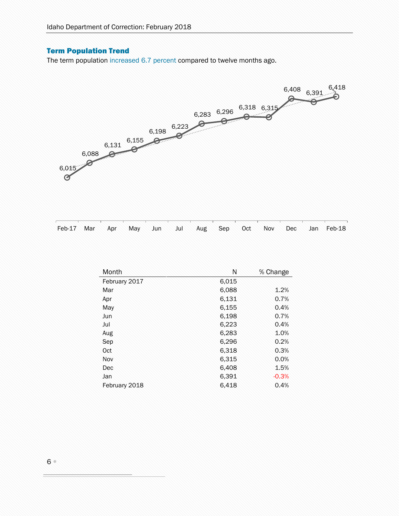### <span id="page-5-0"></span>Term Population Trend

The term population increased 6.7 percent compared to twelve months ago.



|  |  |  |  |  |  | Feb-17 Mar Apr May Jun Jul Aug Sep Oct Nov Dec Jan Feb-18 |
|--|--|--|--|--|--|-----------------------------------------------------------|
|  |  |  |  |  |  |                                                           |

| Month         | Ν     | % Change |
|---------------|-------|----------|
| February 2017 | 6,015 |          |
| Mar           | 6,088 | 1.2%     |
| Apr           | 6,131 | 0.7%     |
| May           | 6,155 | 0.4%     |
| Jun           | 6,198 | 0.7%     |
| Jul           | 6,223 | 0.4%     |
| Aug           | 6,283 | 1.0%     |
| Sep           | 6,296 | 0.2%     |
| Oct           | 6,318 | 0.3%     |
| Nov           | 6,315 | 0.0%     |
| Dec           | 6,408 | 1.5%     |
| Jan           | 6,391 | $-0.3%$  |
| February 2018 | 6,418 | 0.4%     |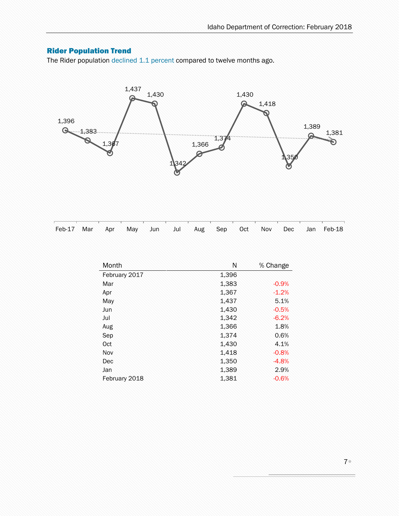### <span id="page-6-0"></span>Rider Population Trend

The Rider population declined 1.1 percent compared to twelve months ago.



|  |  |  |  |  |  | Feb-17 Mar Apr May Jun Jul Aug Sep Oct Nov Dec Jan Feb-18 |
|--|--|--|--|--|--|-----------------------------------------------------------|

| Month         | Ν     | % Change |
|---------------|-------|----------|
| February 2017 | 1,396 |          |
| Mar           | 1,383 | $-0.9%$  |
| Apr           | 1,367 | $-1.2%$  |
| May           | 1,437 | 5.1%     |
| Jun           | 1,430 | $-0.5%$  |
| Jul           | 1,342 | $-6.2%$  |
| Aug           | 1,366 | 1.8%     |
| Sep           | 1,374 | 0.6%     |
| Oct           | 1,430 | 4.1%     |
| Nov           | 1,418 | $-0.8%$  |
| Dec           | 1,350 | $-4.8%$  |
| Jan           | 1,389 | 2.9%     |
| February 2018 | 1,381 | $-0.6%$  |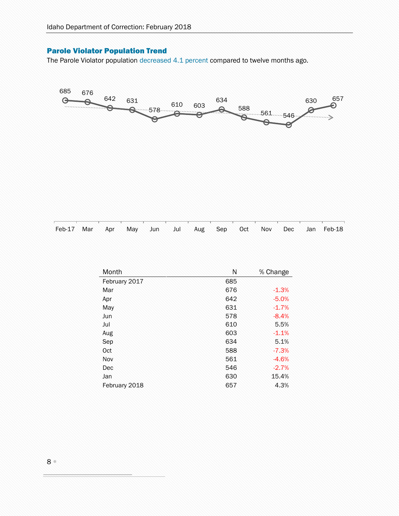### <span id="page-7-0"></span>Parole Violator Population Trend

The Parole Violator population decreased 4.1 percent compared to twelve months ago.



Feb-17 Mar Apr May Jun Jul Aug Sep Oct Nov Dec Jan Feb-18

| Month         | Ν   | % Change |
|---------------|-----|----------|
| February 2017 | 685 |          |
| Mar           | 676 | $-1.3%$  |
| Apr           | 642 | $-5.0%$  |
| May           | 631 | $-1.7%$  |
| Jun           | 578 | $-8.4%$  |
| Jul           | 610 | 5.5%     |
| Aug           | 603 | $-1.1%$  |
| Sep           | 634 | 5.1%     |
| Oct           | 588 | $-7.3%$  |
| Nov           | 561 | $-4.6%$  |
| Dec           | 546 | $-2.7%$  |
| Jan           | 630 | 15.4%    |
| February 2018 | 657 | 4.3%     |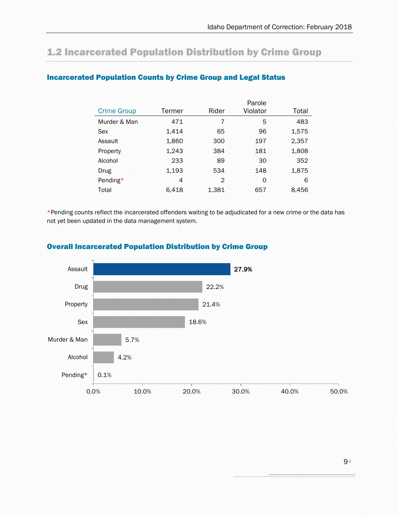## <span id="page-8-0"></span>1.2 Incarcerated Population Distribution by Crime Group

|                    |        |                | Parole   |       |
|--------------------|--------|----------------|----------|-------|
| <b>Crime Group</b> | Termer | Rider          | Violator | Total |
| Murder & Man       | 471    | $\overline{7}$ | 5        | 483   |
| Sex                | 1,414  | 65             | 96       | 1,575 |
| Assault            | 1,860  | 300            | 197      | 2,357 |
| Property           | 1,243  | 384            | 181      | 1,808 |
| Alcohol            | 233    | 89             | 30       | 352   |
| Drug               | 1,193  | 534            | 148      | 1,875 |
| Pending*           | 4      | $\mathfrak{D}$ | 0        | 6     |
| Total              | 6,418  | 1,381          | 657      | 8,456 |

### <span id="page-8-1"></span>Incarcerated Population Counts by Crime Group and Legal Status

\*Pending counts reflect the incarcerated offenders waiting to be adjudicated for a new crime or the data has not yet been updated in the data management system.



### <span id="page-8-2"></span>Overall Incarcerated Population Distribution by Crime Group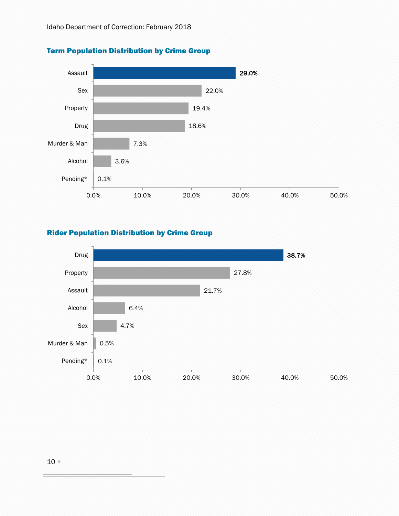

### <span id="page-9-0"></span>Term Population Distribution by Crime Group

### <span id="page-9-1"></span>Rider Population Distribution by Crime Group

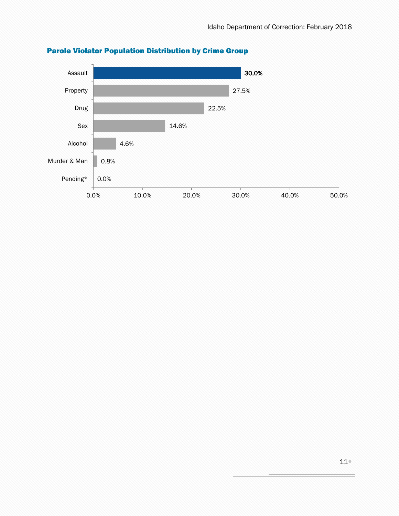

### <span id="page-10-0"></span>Parole Violator Population Distribution by Crime Group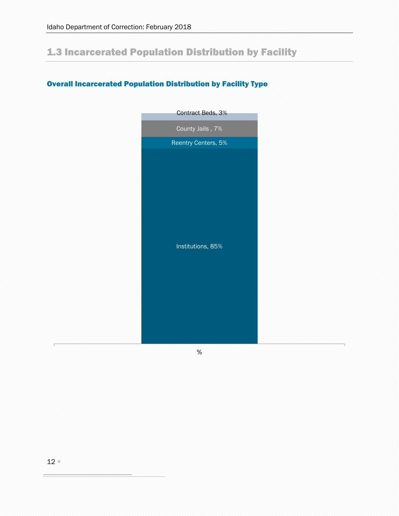## <span id="page-11-0"></span>1.3 Incarcerated Population Distribution by Facility

### <span id="page-11-1"></span>Overall Incarcerated Population Distribution by Facility Type

| County Jails, 7%<br>Reentry Centers, 5% |  |
|-----------------------------------------|--|
|                                         |  |
|                                         |  |
| Institutions, 85%                       |  |

%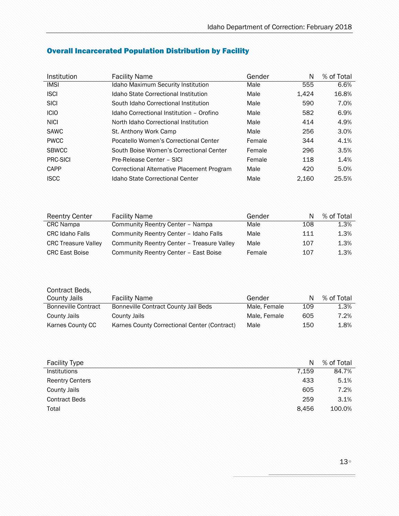| Institution     | <b>Facility Name</b>                       | Gender | N     | % of Total |
|-----------------|--------------------------------------------|--------|-------|------------|
| <b>IMSI</b>     | <b>Idaho Maximum Security Institution</b>  | Male   | 555   | 6.6%       |
| <b>ISCI</b>     | Idaho State Correctional Institution       | Male   | 1.424 | 16.8%      |
| <b>SICI</b>     | South Idaho Correctional Institution       | Male   | 590   | 7.0%       |
| <b>ICIO</b>     | Idaho Correctional Institution - Orofino   | Male   | 582   | 6.9%       |
| <b>NICI</b>     | North Idaho Correctional Institution       | Male   | 414   | 4.9%       |
| <b>SAWC</b>     | St. Anthony Work Camp                      | Male   | 256   | 3.0%       |
| <b>PWCC</b>     | Pocatello Women's Correctional Center      | Female | 344   | 4.1%       |
| <b>SBWCC</b>    | South Boise Women's Correctional Center    | Female | 296   | 3.5%       |
| <b>PRC-SICI</b> | Pre-Release Center - SICI                  | Female | 118   | 1.4%       |
| <b>CAPP</b>     | Correctional Alternative Placement Program | Male   | 420   | 5.0%       |
| <b>ISCC</b>     | Idaho State Correctional Center            | Male   | 2.160 | 25.5%      |

### <span id="page-12-0"></span>Overall Incarcerated Population Distribution by Facility

| <b>Reentry Center</b>      | <b>Facility Name</b>                       | Gender | N   | % of Total |
|----------------------------|--------------------------------------------|--------|-----|------------|
| <b>CRC</b> Nampa           | Community Reentry Center - Nampa           | Male   | 108 | 1.3%       |
| <b>CRC Idaho Falls</b>     | Community Reentry Center - Idaho Falls     | Male   | 111 | 1.3%       |
| <b>CRC Treasure Valley</b> | Community Reentry Center - Treasure Valley | Male   | 107 | 1.3%       |
| <b>CRC East Boise</b>      | Community Reentry Center - East Boise      | Female | 107 | 1.3%       |

| Contract Beds,             |                                              |              |     |            |
|----------------------------|----------------------------------------------|--------------|-----|------------|
| <b>County Jails</b>        | <b>Facility Name</b>                         | Gender       | N   | % of Total |
| <b>Bonneville Contract</b> | Bonneville Contract County Jail Beds         | Male, Female | 109 | 1.3%       |
| <b>County Jails</b>        | County Jails                                 | Male, Female | 605 | 7.2%       |
| Karnes County CC           | Karnes County Correctional Center (Contract) | Male         | 150 | 1.8%       |

| <b>Facility Type</b>   | N     | % of Total |
|------------------------|-------|------------|
| <b>Institutions</b>    | 7.159 | 84.7%      |
| <b>Reentry Centers</b> | 433   | 5.1%       |
| <b>County Jails</b>    | 605   | 7.2%       |
| <b>Contract Beds</b>   | 259   | 3.1%       |
| Total                  | 8.456 | 100.0%     |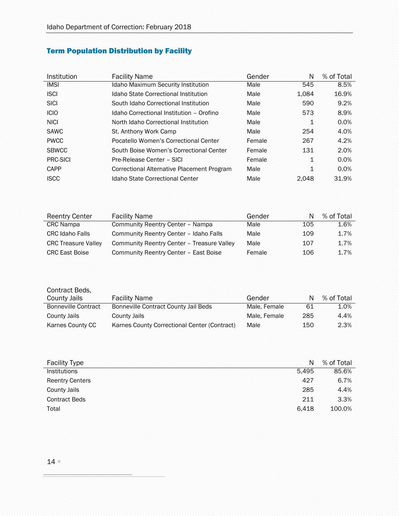## <span id="page-13-0"></span>Term Population Distribution by Facility

l,

| Institution  | <b>Facility Name</b>                       | Gender | N     | % of Total |
|--------------|--------------------------------------------|--------|-------|------------|
| <b>IMSI</b>  | <b>Idaho Maximum Security Institution</b>  | Male   | 545   | 8.5%       |
| <b>ISCI</b>  | Idaho State Correctional Institution       | Male   | 1.084 | 16.9%      |
| <b>SICI</b>  | South Idaho Correctional Institution       | Male   | 590   | 9.2%       |
| <b>ICIO</b>  | Idaho Correctional Institution - Orofino   | Male   | 573   | 8.9%       |
| <b>NICI</b>  | North Idaho Correctional Institution       | Male   | 1     | 0.0%       |
| <b>SAWC</b>  | St. Anthony Work Camp                      | Male   | 254   | 4.0%       |
| <b>PWCC</b>  | Pocatello Women's Correctional Center      | Female | 267   | 4.2%       |
| <b>SBWCC</b> | South Boise Women's Correctional Center    | Female | 131   | 2.0%       |
| PRC-SICI     | Pre-Release Center - SICI                  | Female | 1     | 0.0%       |
| CAPP         | Correctional Alternative Placement Program | Male   | 1     | 0.0%       |
| <b>ISCC</b>  | Idaho State Correctional Center            | Male   | 2.048 | 31.9%      |

| <b>Reentry Center</b>      | <b>Facility Name</b>                       | Gender | N   | % of Total |
|----------------------------|--------------------------------------------|--------|-----|------------|
| <b>CRC</b> Nampa           | Community Reentry Center - Nampa           | Male   | 105 | 1.6%       |
| <b>CRC Idaho Falls</b>     | Community Reentry Center - Idaho Falls     | Male   | 109 | 1.7%       |
| <b>CRC Treasure Valley</b> | Community Reentry Center - Treasure Valley | Male   | 107 | 1.7%       |
| <b>CRC East Boise</b>      | Community Reentry Center - East Boise      | Female | 106 | 1.7%       |

| Contract Beds,             |                                              |              |     |            |
|----------------------------|----------------------------------------------|--------------|-----|------------|
| <b>County Jails</b>        | <b>Facility Name</b>                         | Gender       | N   | % of Total |
| <b>Bonneville Contract</b> | Bonneville Contract County Jail Beds         | Male, Female | 61  | 1.0%       |
| <b>County Jails</b>        | <b>County Jails</b>                          | Male, Female | 285 | 4.4%       |
| Karnes County CC           | Karnes County Correctional Center (Contract) | Male         | 150 | 2.3%       |

| <b>Facility Type</b>   | N     | % of Total |
|------------------------|-------|------------|
| <b>Institutions</b>    | 5.495 | 85.6%      |
| <b>Reentry Centers</b> | 427   | 6.7%       |
| <b>County Jails</b>    | 285   | 4.4%       |
| <b>Contract Beds</b>   | 211   | 3.3%       |
| Total                  | 6.418 | 100.0%     |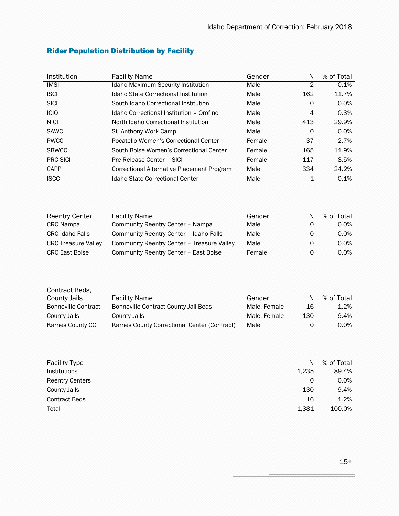| Institution  | <b>Facility Name</b>                       | Gender | N        | % of Total |
|--------------|--------------------------------------------|--------|----------|------------|
| <b>IMSI</b>  | <b>Idaho Maximum Security Institution</b>  | Male   | 2        | 0.1%       |
| <b>ISCI</b>  | Idaho State Correctional Institution       | Male   | 162      | 11.7%      |
| <b>SICI</b>  | South Idaho Correctional Institution       | Male   | 0        | 0.0%       |
| <b>ICIO</b>  | Idaho Correctional Institution - Orofino   | Male   | 4        | 0.3%       |
| <b>NICI</b>  | North Idaho Correctional Institution       | Male   | 413      | 29.9%      |
| <b>SAWC</b>  | St. Anthony Work Camp                      | Male   | $\Omega$ | 0.0%       |
| <b>PWCC</b>  | Pocatello Women's Correctional Center      | Female | 37       | 2.7%       |
| <b>SBWCC</b> | South Boise Women's Correctional Center    | Female | 165      | 11.9%      |
| PRC-SICI     | Pre-Release Center - SICI                  | Female | 117      | 8.5%       |
| CAPP         | Correctional Alternative Placement Program | Male   | 334      | 24.2%      |
| <b>ISCC</b>  | Idaho State Correctional Center            | Male   | 1        | 0.1%       |

## <span id="page-14-0"></span>Rider Population Distribution by Facility

í,

| <b>Reentry Center</b>      | <b>Facility Name</b>                       | Gender | N | % of Total |
|----------------------------|--------------------------------------------|--------|---|------------|
| <b>CRC</b> Nampa           | Community Reentry Center - Nampa           | Male   |   | $0.0\%$    |
| <b>CRC Idaho Falls</b>     | Community Reentry Center - Idaho Falls     | Male   | 0 | 0.0%       |
| <b>CRC Treasure Valley</b> | Community Reentry Center - Treasure Valley | Male   | O | 0.0%       |
| <b>CRC East Boise</b>      | Community Reentry Center - East Boise      | Female | 0 | $0.0\%$    |

| Contract Beds,             |                                              |              |     |            |
|----------------------------|----------------------------------------------|--------------|-----|------------|
| <b>County Jails</b>        | <b>Facility Name</b>                         | Gender       | N   | % of Total |
| <b>Bonneville Contract</b> | Bonneville Contract County Jail Beds         | Male, Female | 16  | 1.2%       |
| <b>County Jails</b>        | County Jails                                 | Male, Female | 130 | 9.4%       |
| Karnes County CC           | Karnes County Correctional Center (Contract) | Male         |     | $0.0\%$    |

| <b>Facility Type</b>   | N     | % of Total |
|------------------------|-------|------------|
| <b>Institutions</b>    | 1.235 | 89.4%      |
| <b>Reentry Centers</b> | 0     | 0.0%       |
| <b>County Jails</b>    | 130   | 9.4%       |
| <b>Contract Beds</b>   | 16    | 1.2%       |
| Total                  | 1,381 | 100.0%     |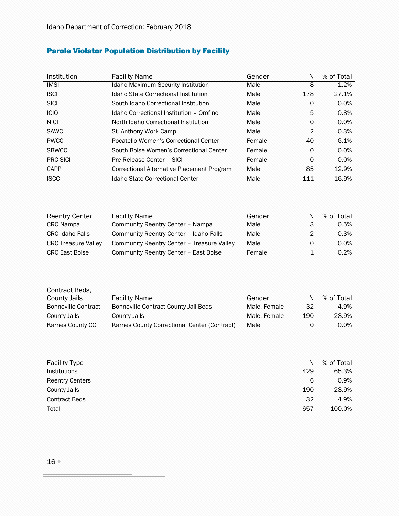### <span id="page-15-0"></span>Parole Violator Population Distribution by Facility

| Institution  | <b>Facility Name</b>                       | Gender | N              | % of Total |
|--------------|--------------------------------------------|--------|----------------|------------|
| <b>IMSI</b>  | Idaho Maximum Security Institution         | Male   | 8              | 1.2%       |
| <b>ISCI</b>  | Idaho State Correctional Institution       | Male   | 178            | 27.1%      |
| <b>SICI</b>  | South Idaho Correctional Institution       | Male   | 0              | 0.0%       |
| <b>ICIO</b>  | Idaho Correctional Institution - Orofino   | Male   | 5              | 0.8%       |
| <b>NICI</b>  | North Idaho Correctional Institution       | Male   | $\Omega$       | 0.0%       |
| <b>SAWC</b>  | St. Anthony Work Camp                      | Male   | $\overline{2}$ | 0.3%       |
| <b>PWCC</b>  | Pocatello Women's Correctional Center      | Female | 40             | 6.1%       |
| <b>SBWCC</b> | South Boise Women's Correctional Center    | Female | $\circ$        | 0.0%       |
| PRC-SICI     | Pre-Release Center - SICI                  | Female | 0              | 0.0%       |
| CAPP         | Correctional Alternative Placement Program | Male   | 85             | 12.9%      |
| <b>ISCC</b>  | Idaho State Correctional Center            | Male   | 111            | 16.9%      |

| <b>Reentry Center</b>      | <b>Facility Name</b>                       | Gender | N | % of Total |
|----------------------------|--------------------------------------------|--------|---|------------|
| <b>CRC</b> Nampa           | Community Reentry Center - Nampa           | Male   | 3 | 0.5%       |
| <b>CRC Idaho Falls</b>     | Community Reentry Center - Idaho Falls     | Male   | 2 | 0.3%       |
| <b>CRC Treasure Valley</b> | Community Reentry Center - Treasure Valley | Male   | 0 | $0.0\%$    |
| <b>CRC East Boise</b>      | Community Reentry Center - East Boise      | Female |   | 0.2%       |

| Contract Beds,             |                                              |              |     |            |
|----------------------------|----------------------------------------------|--------------|-----|------------|
| <b>County Jails</b>        | <b>Facility Name</b>                         | Gender       | N   | % of Total |
| <b>Bonneville Contract</b> | Bonneville Contract County Jail Beds         | Male, Female | 32  | 4.9%       |
| County Jails               | County Jails                                 | Male, Female | 190 | 28.9%      |
| Karnes County CC           | Karnes County Correctional Center (Contract) | Male         |     | $0.0\%$    |

| <b>Facility Type</b>   | N   | % of Total |
|------------------------|-----|------------|
| <b>Institutions</b>    | 429 | 65.3%      |
| <b>Reentry Centers</b> | 6   | 0.9%       |
| <b>County Jails</b>    | 190 | 28.9%      |
| <b>Contract Beds</b>   | 32  | 4.9%       |
| Total                  | 657 | 100.0%     |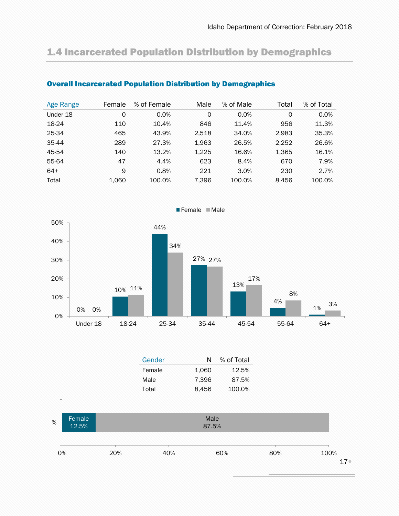## <span id="page-16-0"></span>1.4 Incarcerated Population Distribution by Demographics

| Age Range | Female | % of Female | Male  | % of Male | Total | % of Total |
|-----------|--------|-------------|-------|-----------|-------|------------|
| Under 18  | 0      | 0.0%        | 0     | 0.0%      | 0     | 0.0%       |
| 18-24     | 110    | 10.4%       | 846   | 11.4%     | 956   | 11.3%      |
| 25-34     | 465    | 43.9%       | 2.518 | 34.0%     | 2.983 | 35.3%      |
| 35-44     | 289    | 27.3%       | 1,963 | 26.5%     | 2.252 | 26.6%      |
| 45-54     | 140    | 13.2%       | 1.225 | 16.6%     | 1.365 | 16.1%      |
| 55-64     | 47     | 4.4%        | 623   | 8.4%      | 670   | 7.9%       |
| $64+$     | 9      | 0.8%        | 221   | 3.0%      | 230   | 2.7%       |
| Total     | 1,060  | 100.0%      | 7,396 | 100.0%    | 8.456 | 100.0%     |

### <span id="page-16-1"></span>Overall Incarcerated Population Distribution by Demographics



| Gender |       | % of Total |
|--------|-------|------------|
| Female | 1.060 | 12.5%      |
| Male   | 7,396 | 87.5%      |
| Total  | 8.456 | 100.0%     |
|        |       |            |

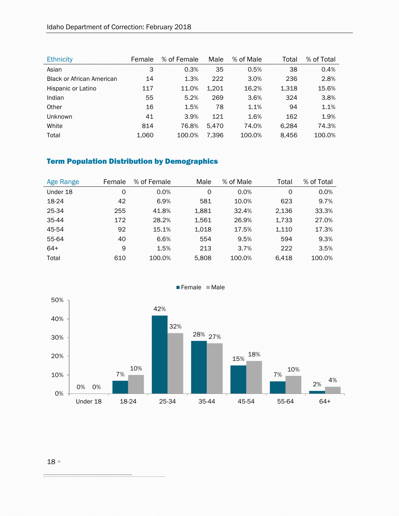| <b>Ethnicity</b>                 | Female | % of Female | Male  | % of Male | Total | % of Total |
|----------------------------------|--------|-------------|-------|-----------|-------|------------|
| Asian                            | 3      | 0.3%        | 35    | 0.5%      | 38    | 0.4%       |
| <b>Black or African American</b> | 14     | 1.3%        | 222   | 3.0%      | 236   | 2.8%       |
| Hispanic or Latino               | 117    | 11.0%       | 1,201 | 16.2%     | 1,318 | 15.6%      |
| Indian                           | 55     | 5.2%        | 269   | 3.6%      | 324   | 3.8%       |
| Other                            | 16     | 1.5%        | 78    | 1.1%      | 94    | 1.1%       |
| <b>Unknown</b>                   | 41     | 3.9%        | 121   | 1.6%      | 162   | 1.9%       |
| White                            | 814    | 76.8%       | 5.470 | 74.0%     | 6.284 | 74.3%      |
| Total                            | 1,060  | 100.0%      | 7.396 | 100.0%    | 8.456 | 100.0%     |

### <span id="page-17-0"></span>Term Population Distribution by Demographics

| Age Range | Female | % of Female | Male  | % of Male | Total | % of Total |
|-----------|--------|-------------|-------|-----------|-------|------------|
| Under 18  | 0      | 0.0%        | 0     | 0.0%      | 0     | 0.0%       |
| 18-24     | 42     | 6.9%        | 581   | 10.0%     | 623   | 9.7%       |
| 25-34     | 255    | 41.8%       | 1,881 | 32.4%     | 2.136 | 33.3%      |
| 35-44     | 172    | 28.2%       | 1,561 | 26.9%     | 1,733 | 27.0%      |
| 45-54     | 92     | 15.1%       | 1,018 | 17.5%     | 1,110 | 17.3%      |
| 55-64     | 40     | 6.6%        | 554   | 9.5%      | 594   | 9.3%       |
| $64+$     | 9      | 1.5%        | 213   | 3.7%      | 222   | 3.5%       |
| Total     | 610    | 100.0%      | 5,808 | 100.0%    | 6.418 | 100.0%     |



Female Male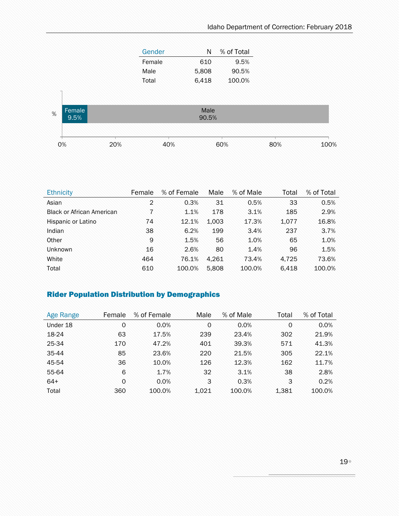| Gender | N     | % of Total |
|--------|-------|------------|
| Female | 610   | 9.5%       |
| Male   | 5,808 | 90.5%      |
| Total  | 6,418 | 100.0%     |



| <b>Ethnicity</b>                 | Female | % of Female | Male  | % of Male | Total | % of Total |
|----------------------------------|--------|-------------|-------|-----------|-------|------------|
| Asian                            | 2      | 0.3%        | 31    | 0.5%      | 33    | 0.5%       |
| <b>Black or African American</b> |        | 1.1%        | 178   | 3.1%      | 185   | 2.9%       |
| Hispanic or Latino               | 74     | 12.1%       | 1,003 | 17.3%     | 1,077 | 16.8%      |
| Indian                           | 38     | 6.2%        | 199   | 3.4%      | 237   | 3.7%       |
| Other                            | 9      | 1.5%        | 56    | 1.0%      | 65    | 1.0%       |
| Unknown                          | 16     | 2.6%        | 80    | 1.4%      | 96    | 1.5%       |
| White                            | 464    | 76.1%       | 4.261 | 73.4%     | 4.725 | 73.6%      |
| Total                            | 610    | 100.0%      | 5.808 | 100.0%    | 6.418 | 100.0%     |

### <span id="page-18-0"></span>Rider Population Distribution by Demographics

| <b>Age Range</b> | Female   | % of Female | Male        | % of Male | Total | % of Total |
|------------------|----------|-------------|-------------|-----------|-------|------------|
| Under 18         | 0        | 0.0%        | $\mathbf 0$ | 0.0%      | 0     | 0.0%       |
| 18-24            | 63       | 17.5%       | 239         | 23.4%     | 302   | 21.9%      |
| 25-34            | 170      | 47.2%       | 401         | 39.3%     | 571   | 41.3%      |
| 35-44            | 85       | 23.6%       | 220         | 21.5%     | 305   | 22.1%      |
| 45-54            | 36       | 10.0%       | 126         | 12.3%     | 162   | 11.7%      |
| 55-64            | 6        | 1.7%        | 32          | 3.1%      | 38    | 2.8%       |
| $64+$            | $\Omega$ | 0.0%        | 3           | 0.3%      | 3     | 0.2%       |
| Total            | 360      | 100.0%      | 1.021       | 100.0%    | 1,381 | 100.0%     |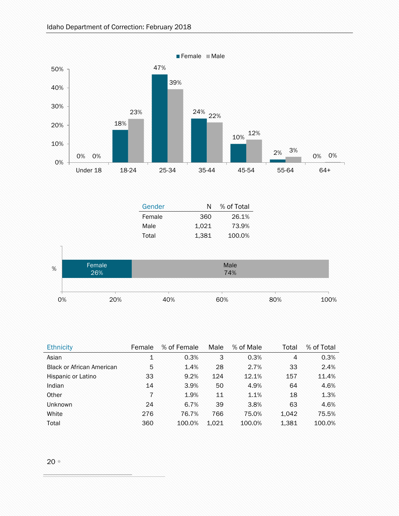

| <b>Ethnicity</b>                 | Female         | % of Female | Male  | % of Male | Total | % of Total |
|----------------------------------|----------------|-------------|-------|-----------|-------|------------|
| Asian                            | $\mathbf 1$    | 0.3%        | 3     | 0.3%      | 4     | 0.3%       |
| <b>Black or African American</b> | 5              | 1.4%        | 28    | 2.7%      | 33    | 2.4%       |
| Hispanic or Latino               | 33             | 9.2%        | 124   | 12.1%     | 157   | 11.4%      |
| Indian                           | 14             | 3.9%        | 50    | 4.9%      | 64    | 4.6%       |
| Other                            | $\overline{7}$ | 1.9%        | 11    | 1.1%      | 18    | 1.3%       |
| <b>Unknown</b>                   | 24             | 6.7%        | 39    | 3.8%      | 63    | 4.6%       |
| White                            | 276            | 76.7%       | 766   | 75.0%     | 1,042 | 75.5%      |
| Total                            | 360            | 100.0%      | 1.021 | 100.0%    | 1,381 | 100.0%     |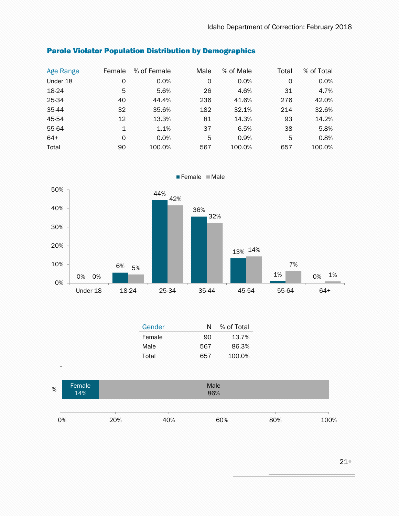| Age Range | Female       | % of Female | Male        | % of Male | Total | % of Total |
|-----------|--------------|-------------|-------------|-----------|-------|------------|
| Under 18  | 0            | 0.0%        | $\mathbf 0$ | 0.0%      | 0     | 0.0%       |
| 18-24     | 5            | 5.6%        | 26          | 4.6%      | 31    | 4.7%       |
| 25-34     | 40           | 44.4%       | 236         | 41.6%     | 276   | 42.0%      |
| 35-44     | 32           | 35.6%       | 182         | 32.1%     | 214   | 32.6%      |
| 45-54     | 12           | 13.3%       | 81          | 14.3%     | 93    | 14.2%      |
| 55-64     | $\mathbf{1}$ | 1.1%        | 37          | 6.5%      | 38    | 5.8%       |
| $64+$     | $\circ$      | 0.0%        | 5           | 0.9%      | 5     | 0.8%       |
| Total     | 90           | 100.0%      | 567         | 100.0%    | 657   | 100.0%     |

### <span id="page-20-0"></span>Parole Violator Population Distribution by Demographics



| Gender |     | % of Total |
|--------|-----|------------|
| Female | 90. | 13.7%      |
| Male   | 567 | 86.3%      |
| Total  | 657 | 100.0%     |

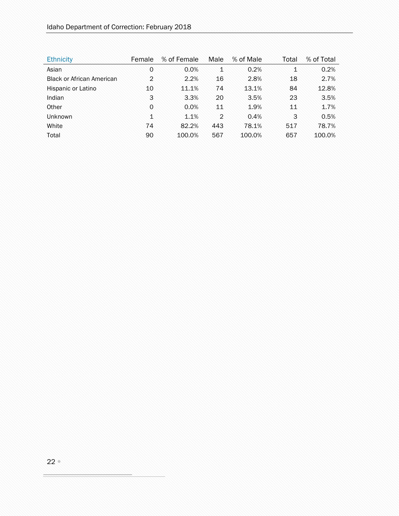| <b>Ethnicity</b>                 | Female         | % of Female | Male          | % of Male | Total | % of Total |
|----------------------------------|----------------|-------------|---------------|-----------|-------|------------|
| Asian                            | 0              | 0.0%        | 1             | 0.2%      | 1     | 0.2%       |
| <b>Black or African American</b> | $\overline{2}$ | 2.2%        | 16            | 2.8%      | 18    | 2.7%       |
| Hispanic or Latino               | 10             | 11.1%       | 74            | 13.1%     | 84    | 12.8%      |
| Indian                           | 3              | 3.3%        | 20            | 3.5%      | 23    | 3.5%       |
| Other                            | $\Omega$       | 0.0%        | 11            | 1.9%      | 11    | 1.7%       |
| <b>Unknown</b>                   | $\mathbf{1}$   | 1.1%        | $\mathcal{P}$ | 0.4%      | 3     | 0.5%       |
| White                            | 74             | 82.2%       | 443           | 78.1%     | 517   | 78.7%      |
| Total                            | 90             | 100.0%      | 567           | 100.0%    | 657   | 100.0%     |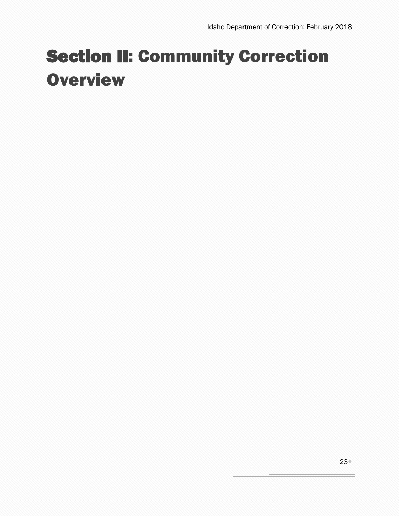# <span id="page-22-0"></span>Section II: Community Correction **Overview**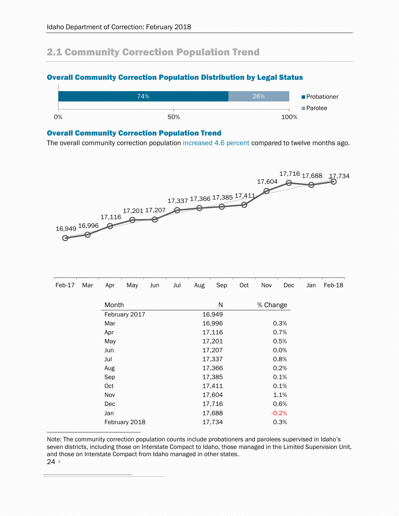## <span id="page-23-0"></span>2.1 Community Correction Population Trend

### <span id="page-23-1"></span>Overall Community Correction Population Distribution by Legal Status



### <span id="page-23-2"></span>Overall Community Correction Population Trend

The overall community correction population increased 4.6 percent compared to twelve months ago.



| $Feb-17$ | Mar | Apr   | May           | Jun | Jul | Aug    | Sep    | Oct  | Nov      | Dec     | Jan | Feb-18 |
|----------|-----|-------|---------------|-----|-----|--------|--------|------|----------|---------|-----|--------|
|          |     | Month |               |     |     |        | N      |      | % Change |         |     |        |
|          |     |       | February 2017 |     |     |        | 16,949 |      |          |         |     |        |
|          |     | Mar   |               |     |     |        | 16,996 |      |          | 0.3%    |     |        |
|          |     | Apr   |               |     |     |        | 17,116 |      | 0.7%     |         |     |        |
|          | May |       |               |     |     | 17,201 | 0.5%   |      |          |         |     |        |
|          |     | Jun   |               |     |     |        | 17,207 | 0.0% |          |         |     |        |
|          |     | Jul   |               |     |     |        | 17,337 |      |          | 0.8%    |     |        |
|          |     | Aug   |               |     |     |        | 17,366 |      |          | 0.2%    |     |        |
|          |     | Sep   |               |     |     |        | 17,385 | 0.1% |          |         |     |        |
|          |     | Oct   |               |     |     |        | 17,411 |      |          | 0.1%    |     |        |
|          |     | Nov   |               |     |     |        | 17,604 |      |          | 1.1%    |     |        |
|          |     |       | <b>Dec</b>    |     |     |        | 17,716 | 0.6% |          |         |     |        |
|          |     | Jan   |               |     |     |        | 17,688 |      |          | $-0.2%$ |     |        |
|          |     |       | February 2018 |     |     |        | 17,734 |      |          | 0.3%    |     |        |

Note: The community correction population counts include probationers and parolees supervised in Idaho's seven districts, including those on Interstate Compact to Idaho, those managed in the Limited Supervision Unit, and those on Interstate Compact from Idaho managed in other states.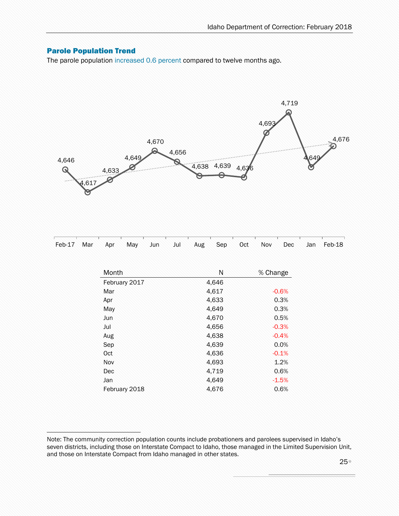### <span id="page-24-0"></span>Parole Population Trend

ì

The parole population increased 0.6 percent compared to twelve months ago.



|  |  |  |  |  |  | <u>POSTO O NECONO NO STANO NA STANO NA STANO NA STANO NA STANO NA STANO NA STANO NA STANO NA STANO NA STANO NA ST</u> |
|--|--|--|--|--|--|-----------------------------------------------------------------------------------------------------------------------|
|  |  |  |  |  |  | Feb-17 Mar Apr May Jun Jul Aug Sep Oct Nov Dec Jan Feb-18                                                             |

| Month         | N     | % Change |
|---------------|-------|----------|
| February 2017 | 4,646 |          |
| Mar           | 4,617 | $-0.6%$  |
| Apr           | 4,633 | 0.3%     |
| May           | 4,649 | 0.3%     |
| Jun           | 4,670 | 0.5%     |
| Jul           | 4,656 | $-0.3%$  |
| Aug           | 4,638 | $-0.4%$  |
| Sep           | 4,639 | 0.0%     |
| Oct           | 4,636 | $-0.1%$  |
| Nov           | 4,693 | 1.2%     |
| Dec           | 4,719 | 0.6%     |
| Jan           | 4,649 | $-1.5%$  |
| February 2018 | 4.676 | 0.6%     |

Note: The community correction population counts include probationers and parolees supervised in Idaho's seven districts, including those on Interstate Compact to Idaho, those managed in the Limited Supervision Unit, and those on Interstate Compact from Idaho managed in other states.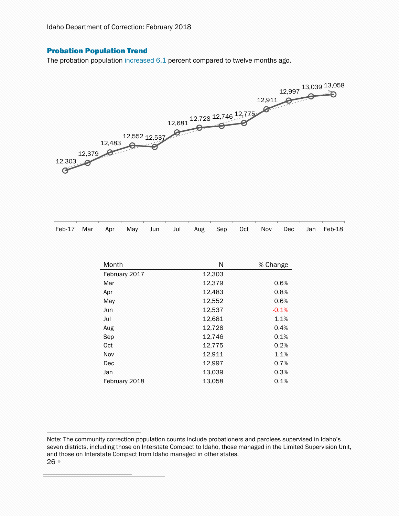### <span id="page-25-0"></span>Probation Population Trend

ì

The probation population increased 6.1 percent compared to twelve months ago.



|  |  |  |  |  |  | Feb-17 Mar Apr May Jun Jul Aug Sep Oct Nov Dec Jan Feb-18 |
|--|--|--|--|--|--|-----------------------------------------------------------|

| Month         | N      | % Change |
|---------------|--------|----------|
| February 2017 | 12,303 |          |
| Mar           | 12,379 | 0.6%     |
| Apr           | 12,483 | 0.8%     |
| May           | 12,552 | 0.6%     |
| Jun           | 12,537 | $-0.1%$  |
| Jul           | 12,681 | 1.1%     |
| Aug           | 12,728 | 0.4%     |
| Sep           | 12,746 | 0.1%     |
| Oct           | 12,775 | 0.2%     |
| Nov           | 12,911 | 1.1%     |
| Dec           | 12,997 | 0.7%     |
| Jan           | 13,039 | 0.3%     |
| February 2018 | 13,058 | 0.1%     |

<sup>26</sup> Note: The community correction population counts include probationers and parolees supervised in Idaho's seven districts, including those on Interstate Compact to Idaho, those managed in the Limited Supervision Unit, and those on Interstate Compact from Idaho managed in other states.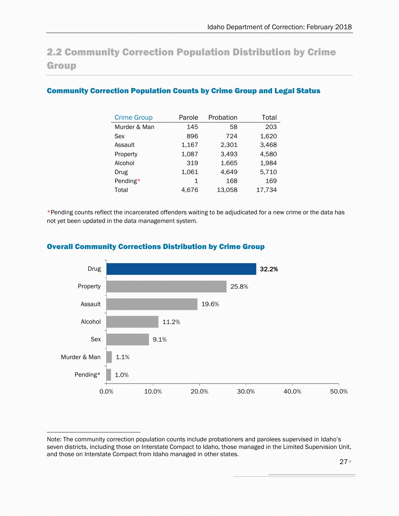## <span id="page-26-0"></span>2.2 Community Correction Population Distribution by Crime **Group**

### <span id="page-26-1"></span>Community Correction Population Counts by Crime Group and Legal Status

| <b>Crime Group</b> | Parole       | Probation | Total  |
|--------------------|--------------|-----------|--------|
| Murder & Man       | 145          | 58        | 203    |
| Sex                | 896          | 724       | 1,620  |
| Assault            | 1,167        | 2,301     | 3,468  |
| Property           | 1,087        | 3,493     | 4,580  |
| Alcohol            | 319          | 1.665     | 1,984  |
| Drug               | 1,061        | 4,649     | 5,710  |
| Pending*           | $\mathbf{1}$ | 168       | 169    |
| Total              | 4,676        | 13,058    | 17,734 |

\*Pending counts reflect the incarcerated offenders waiting to be adjudicated for a new crime or the data has not yet been updated in the data management system.



### <span id="page-26-2"></span>Overall Community Corrections Distribution by Crime Group

Note: The community correction population counts include probationers and parolees supervised in Idaho's seven districts, including those on Interstate Compact to Idaho, those managed in the Limited Supervision Unit, and those on Interstate Compact from Idaho managed in other states.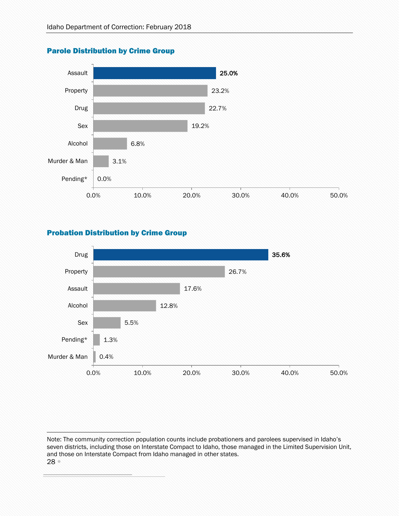

### <span id="page-27-0"></span>Parole Distribution by Crime Group

### <span id="page-27-1"></span>Probation Distribution by Crime Group



<sup>28</sup> Note: The community correction population counts include probationers and parolees supervised in Idaho's seven districts, including those on Interstate Compact to Idaho, those managed in the Limited Supervision Unit, and those on Interstate Compact from Idaho managed in other states.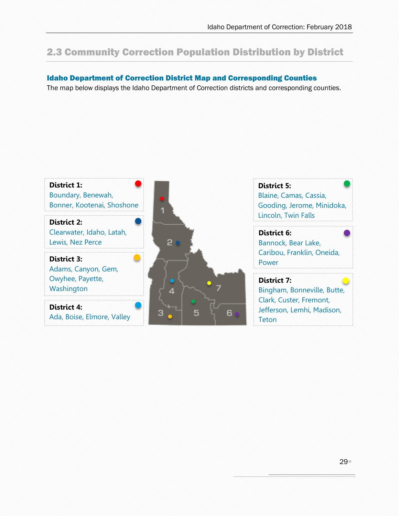## <span id="page-28-0"></span>2.3 Community Correction Population Distribution by District

### <span id="page-28-1"></span>Idaho Department of Correction District Map and Corresponding Counties

The map below displays the Idaho Department of Correction districts and corresponding counties.

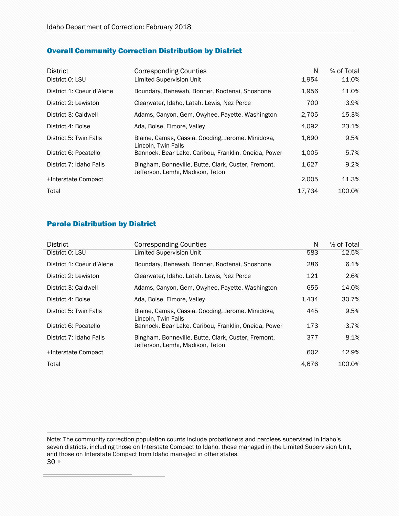### <span id="page-29-0"></span>Overall Community Correction Distribution by District

| <b>District</b>           | <b>Corresponding Counties</b>                                                           | N      | % of Total |
|---------------------------|-----------------------------------------------------------------------------------------|--------|------------|
| District 0: LSU           | <b>Limited Supervision Unit</b>                                                         | 1,954  | 11.0%      |
| District 1: Coeur d'Alene | Boundary, Benewah, Bonner, Kootenai, Shoshone                                           | 1,956  | 11.0%      |
| District 2: Lewiston      | Clearwater, Idaho, Latah, Lewis, Nez Perce                                              | 700    | 3.9%       |
| District 3: Caldwell      | Adams, Canyon, Gem, Owyhee, Payette, Washington                                         | 2.705  | 15.3%      |
| District 4: Boise         | Ada, Boise, Elmore, Valley                                                              | 4.092  | 23.1%      |
| District 5: Twin Falls    | Blaine, Camas, Cassia, Gooding, Jerome, Minidoka,<br>Lincoln, Twin Falls                | 1,690  | 9.5%       |
| District 6: Pocatello     | Bannock, Bear Lake, Caribou, Franklin, Oneida, Power                                    | 1,005  | 5.7%       |
| District 7: Idaho Falls   | Bingham, Bonneville, Butte, Clark, Custer, Fremont,<br>Jefferson, Lemhi, Madison, Teton | 1,627  | 9.2%       |
| +Interstate Compact       |                                                                                         | 2,005  | 11.3%      |
| Total                     |                                                                                         | 17.734 | 100.0%     |

### <span id="page-29-1"></span>Parole Distribution by District

ì

| <b>District</b>           | <b>Corresponding Counties</b>                                                           | N     | % of Total |
|---------------------------|-----------------------------------------------------------------------------------------|-------|------------|
| District 0: LSU           | <b>Limited Supervision Unit</b>                                                         | 583   | 12.5%      |
| District 1: Coeur d'Alene | Boundary, Benewah, Bonner, Kootenai, Shoshone                                           | 286   | 6.1%       |
| District 2: Lewiston      | Clearwater, Idaho, Latah, Lewis, Nez Perce                                              | 121   | 2.6%       |
| District 3: Caldwell      | Adams, Canyon, Gem, Owyhee, Payette, Washington                                         | 655   | 14.0%      |
| District 4: Boise         | Ada, Boise, Elmore, Valley                                                              | 1,434 | 30.7%      |
| District 5: Twin Falls    | Blaine, Camas, Cassia, Gooding, Jerome, Minidoka,<br>Lincoln, Twin Falls                | 445   | 9.5%       |
| District 6: Pocatello     | Bannock, Bear Lake, Caribou, Franklin, Oneida, Power                                    | 173   | 3.7%       |
| District 7: Idaho Falls   | Bingham, Bonneville, Butte, Clark, Custer, Fremont,<br>Jefferson, Lemhi, Madison, Teton | 377   | 8.1%       |
| +Interstate Compact       |                                                                                         | 602   | 12.9%      |
| Total                     |                                                                                         | 4,676 | 100.0%     |

30 Note: The community correction population counts include probationers and parolees supervised in Idaho's seven districts, including those on Interstate Compact to Idaho, those managed in the Limited Supervision Unit, and those on Interstate Compact from Idaho managed in other states.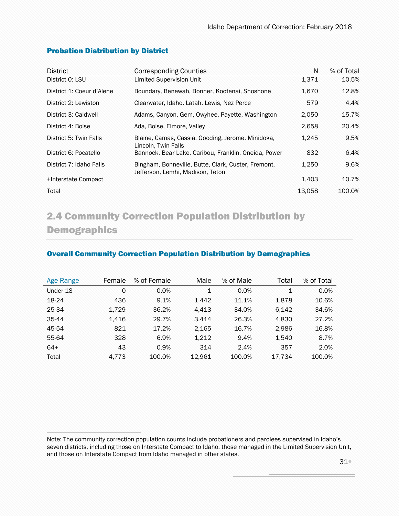| <b>District</b>           | <b>Corresponding Counties</b>                                                           | N      | % of Total |
|---------------------------|-----------------------------------------------------------------------------------------|--------|------------|
| District 0: LSU           | Limited Supervision Unit                                                                | 1,371  | 10.5%      |
| District 1: Coeur d'Alene | Boundary, Benewah, Bonner, Kootenai, Shoshone                                           | 1,670  | 12.8%      |
| District 2: Lewiston      | Clearwater, Idaho, Latah, Lewis, Nez Perce                                              | 579    | 4.4%       |
| District 3: Caldwell      | Adams, Canyon, Gem, Owyhee, Payette, Washington                                         | 2,050  | 15.7%      |
| District 4: Boise         | Ada, Boise, Elmore, Valley                                                              | 2,658  | 20.4%      |
| District 5: Twin Falls    | Blaine, Camas, Cassia, Gooding, Jerome, Minidoka,<br>Lincoln, Twin Falls                | 1,245  | 9.5%       |
| District 6: Pocatello     | Bannock, Bear Lake, Caribou, Franklin, Oneida, Power                                    | 832    | 6.4%       |
| District 7: Idaho Falls   | Bingham, Bonneville, Butte, Clark, Custer, Fremont,<br>Jefferson, Lemhi, Madison, Teton | 1,250  | 9.6%       |
| +Interstate Compact       |                                                                                         | 1.403  | 10.7%      |
| Total                     |                                                                                         | 13.058 | 100.0%     |

### <span id="page-30-0"></span>Probation Distribution by District

ì

## <span id="page-30-1"></span>2.4 Community Correction Population Distribution by Demographics

### <span id="page-30-2"></span>Overall Community Correction Population Distribution by Demographics

| <b>Age Range</b> | Female | % of Female | Male   | % of Male | Total       | % of Total |
|------------------|--------|-------------|--------|-----------|-------------|------------|
| Under 18         | 0      | 0.0%        | 1      | 0.0%      | $\mathbf 1$ | 0.0%       |
| 18-24            | 436    | 9.1%        | 1,442  | 11.1%     | 1.878       | 10.6%      |
| 25-34            | 1,729  | 36.2%       | 4.413  | 34.0%     | 6.142       | 34.6%      |
| 35-44            | 1,416  | 29.7%       | 3,414  | 26.3%     | 4,830       | 27.2%      |
| 45-54            | 821    | 17.2%       | 2,165  | 16.7%     | 2,986       | 16.8%      |
| 55-64            | 328    | 6.9%        | 1.212  | 9.4%      | 1.540       | 8.7%       |
| $64+$            | 43     | 0.9%        | 314    | 2.4%      | 357         | 2.0%       |
| Total            | 4.773  | 100.0%      | 12.961 | 100.0%    | 17.734      | 100.0%     |

Note: The community correction population counts include probationers and parolees supervised in Idaho's seven districts, including those on Interstate Compact to Idaho, those managed in the Limited Supervision Unit, and those on Interstate Compact from Idaho managed in other states.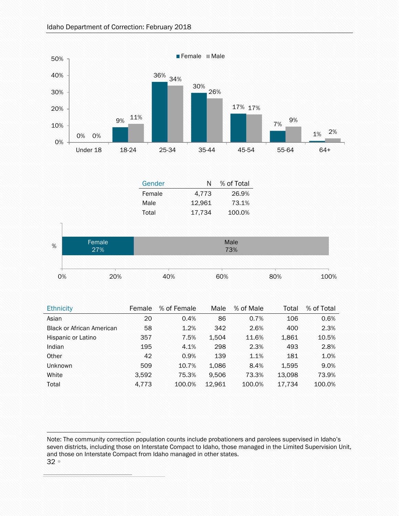

| <b>Ethnicity</b>                 | Female | % of Female | Male   | % of Male | Total  | % of Total |
|----------------------------------|--------|-------------|--------|-----------|--------|------------|
| Asian                            | 20     | 0.4%        | 86     | 0.7%      | 106    | 0.6%       |
| <b>Black or African American</b> | 58     | 1.2%        | 342    | 2.6%      | 400    | 2.3%       |
| Hispanic or Latino               | 357    | 7.5%        | 1,504  | 11.6%     | 1,861  | 10.5%      |
| Indian                           | 195    | 4.1%        | 298    | 2.3%      | 493    | 2.8%       |
| Other                            | 42     | 0.9%        | 139    | 1.1%      | 181    | 1.0%       |
| <b>Unknown</b>                   | 509    | 10.7%       | 1,086  | 8.4%      | 1,595  | 9.0%       |
| White                            | 3,592  | 75.3%       | 9.506  | 73.3%     | 13.098 | 73.9%      |
| Total                            | 4.773  | 100.0%      | 12.961 | 100.0%    | 17.734 | 100.0%     |

<sup>32</sup> Note: The community correction population counts include probationers and parolees supervised in Idaho's seven districts, including those on Interstate Compact to Idaho, those managed in the Limited Supervision Unit, and those on Interstate Compact from Idaho managed in other states.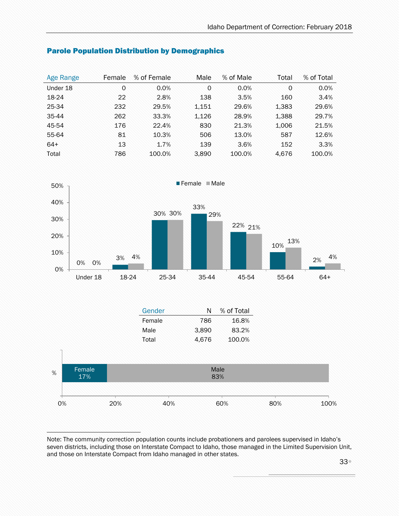| Age Range | Female | % of Female | Male  | % of Male | Total | % of Total |
|-----------|--------|-------------|-------|-----------|-------|------------|
| Under 18  | 0      | 0.0%        | 0     | 0.0%      | 0     | 0.0%       |
| 18-24     | 22     | 2.8%        | 138   | 3.5%      | 160   | 3.4%       |
| 25-34     | 232    | 29.5%       | 1,151 | 29.6%     | 1,383 | 29.6%      |
| 35-44     | 262    | 33.3%       | 1,126 | 28.9%     | 1,388 | 29.7%      |
| 45-54     | 176    | 22.4%       | 830   | 21.3%     | 1,006 | 21.5%      |
| 55-64     | 81     | 10.3%       | 506   | 13.0%     | 587   | 12.6%      |
| $64+$     | 13     | 1.7%        | 139   | 3.6%      | 152   | 3.3%       |
| Total     | 786    | 100.0%      | 3,890 | 100.0%    | 4.676 | 100.0%     |

### <span id="page-32-0"></span>Parole Population Distribution by Demographics



|    |        |     | Gender | N     | % of Total |     |      |
|----|--------|-----|--------|-------|------------|-----|------|
|    |        |     | Female | 786   | 16.8%      |     |      |
|    |        |     | Male   | 3,890 | 83.2%      |     |      |
|    |        |     | Total  | 4,676 | 100.0%     |     |      |
|    |        |     |        |       |            |     |      |
| %  | Female |     |        |       | Male       |     |      |
|    | 17%    |     |        |       | 83%        |     |      |
|    |        |     |        |       |            |     |      |
| 0% |        | 20% | 40%    |       | 60%        | 80% | 100% |

Note: The community correction population counts include probationers and parolees supervised in Idaho's seven districts, including those on Interstate Compact to Idaho, those managed in the Limited Supervision Unit, and those on Interstate Compact from Idaho managed in other states.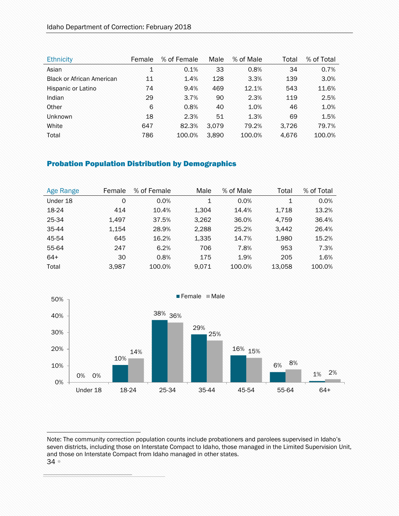| <b>Ethnicity</b>                 | Female       | % of Female | Male  | % of Male | Total | % of Total |
|----------------------------------|--------------|-------------|-------|-----------|-------|------------|
| Asian                            | $\mathbf{1}$ | 0.1%        | 33    | 0.8%      | 34    | 0.7%       |
| <b>Black or African American</b> | 11           | 1.4%        | 128   | 3.3%      | 139   | 3.0%       |
| Hispanic or Latino               | 74           | 9.4%        | 469   | 12.1%     | 543   | 11.6%      |
| Indian                           | 29           | 3.7%        | 90    | 2.3%      | 119   | 2.5%       |
| Other                            | 6            | 0.8%        | 40    | 1.0%      | 46    | 1.0%       |
| <b>Unknown</b>                   | 18           | 2.3%        | 51    | 1.3%      | 69    | 1.5%       |
| White                            | 647          | 82.3%       | 3.079 | 79.2%     | 3.726 | 79.7%      |
| Total                            | 786          | 100.0%      | 3.890 | 100.0%    | 4.676 | 100.0%     |

### <span id="page-33-0"></span>Probation Population Distribution by Demographics

| Age Range | Female | % of Female | Male  | % of Male | Total  | % of Total |
|-----------|--------|-------------|-------|-----------|--------|------------|
| Under 18  | 0      | $0.0\%$     | 1     | 0.0%      | 1      | 0.0%       |
| 18-24     | 414    | 10.4%       | 1,304 | 14.4%     | 1.718  | 13.2%      |
| 25-34     | 1.497  | 37.5%       | 3,262 | 36.0%     | 4.759  | 36.4%      |
| 35-44     | 1.154  | 28.9%       | 2,288 | 25.2%     | 3.442  | 26.4%      |
| 45-54     | 645    | 16.2%       | 1,335 | 14.7%     | 1,980  | 15.2%      |
| 55-64     | 247    | 6.2%        | 706   | 7.8%      | 953    | 7.3%       |
| $64+$     | 30     | 0.8%        | 175   | 1.9%      | 205    | 1.6%       |
| Total     | 3.987  | 100.0%      | 9.071 | 100.0%    | 13.058 | 100.0%     |



<sup>34</sup> Note: The community correction population counts include probationers and parolees supervised in Idaho's seven districts, including those on Interstate Compact to Idaho, those managed in the Limited Supervision Unit, and those on Interstate Compact from Idaho managed in other states.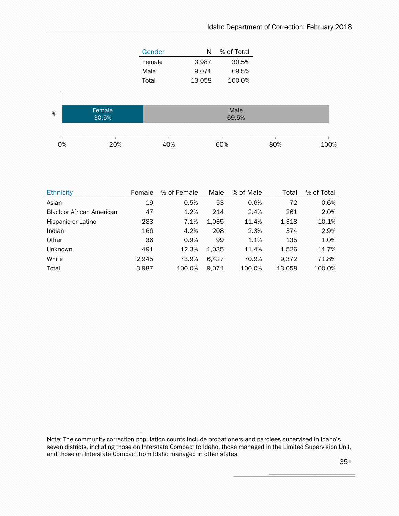| Gender | N      | % of Total |
|--------|--------|------------|
| Female | 3,987  | 30.5%      |
| Male   | 9,071  | 69.5%      |
| Total  | 13,058 | 100.0%     |



| <b>Ethnicity</b>                 | Female | % of Female | Male  | % of Male | Total  | % of Total |
|----------------------------------|--------|-------------|-------|-----------|--------|------------|
| Asian                            | 19     | 0.5%        | 53    | 0.6%      | 72     | 0.6%       |
| <b>Black or African American</b> | 47     | 1.2%        | 214   | 2.4%      | 261    | 2.0%       |
| Hispanic or Latino               | 283    | 7.1%        | 1.035 | 11.4%     | 1,318  | 10.1%      |
| Indian                           | 166    | 4.2%        | 208   | 2.3%      | 374    | 2.9%       |
| Other                            | 36     | 0.9%        | 99    | 1.1%      | 135    | 1.0%       |
| Unknown                          | 491    | 12.3%       | 1.035 | 11.4%     | 1.526  | 11.7%      |
| White                            | 2.945  | 73.9%       | 6.427 | 70.9%     | 9.372  | 71.8%      |
| Total                            | 3,987  | 100.0%      | 9.071 | 100.0%    | 13,058 | 100.0%     |

Note: The community correction population counts include probationers and parolees supervised in Idaho's seven districts, including those on Interstate Compact to Idaho, those managed in the Limited Supervision Unit, and those on Interstate Compact from Idaho managed in other states.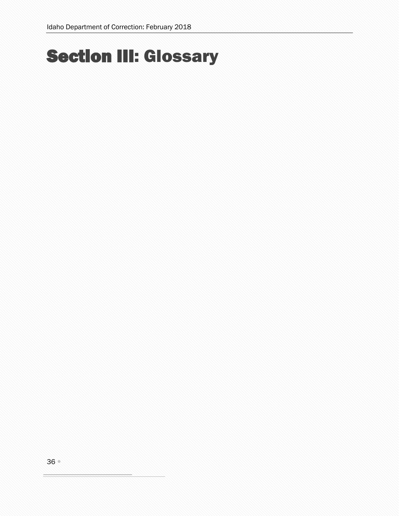# <span id="page-35-0"></span>Section III: Glossary